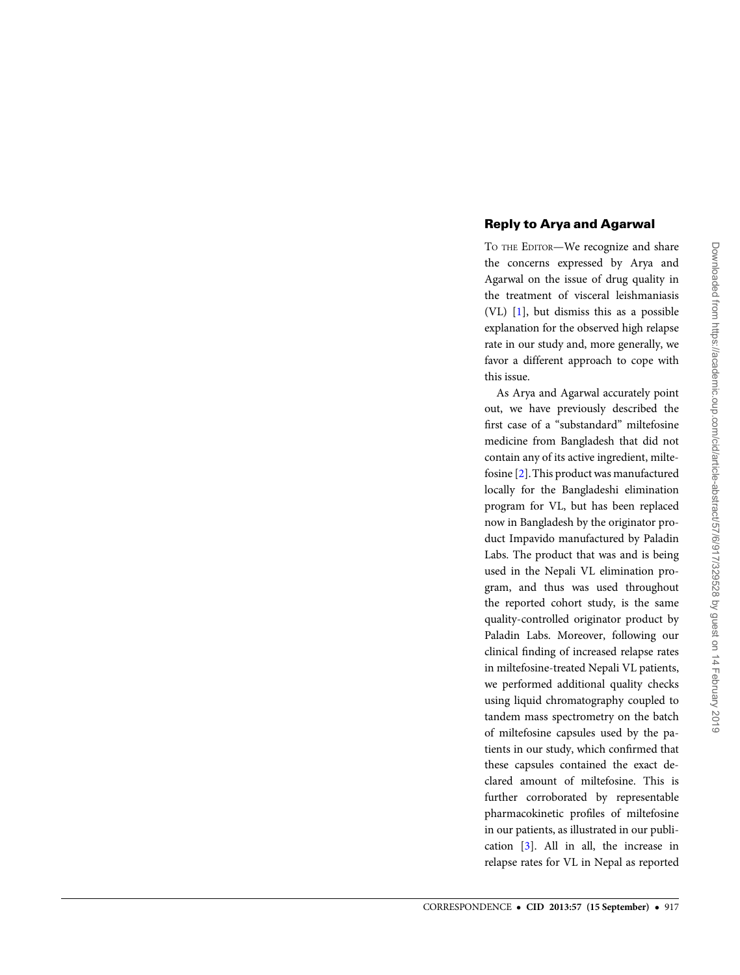## Reply to Arya and Agarwal

TO THE EDITOR—We recognize and share the concerns expressed by Arya and Agarwal on the issue of drug quality in the treatment of visceral leishmaniasis (VL) [\[1](#page-1-0)], but dismiss this as a possible explanation for the observed high relapse rate in our study and, more generally, we favor a different approach to cope with this issue.

As Arya and Agarwal accurately point out, we have previously described the first case of a "substandard" miltefosine medicine from Bangladesh that did not contain any of its active ingredient, miltefosine [\[2\]](#page-1-0).This product was manufactured locally for the Bangladeshi elimination program for VL, but has been replaced now in Bangladesh by the originator product Impavido manufactured by Paladin Labs. The product that was and is being used in the Nepali VL elimination program, and thus was used throughout the reported cohort study, is the same quality-controlled originator product by Paladin Labs. Moreover, following our clinical finding of increased relapse rates in miltefosine-treated Nepali VL patients, we performed additional quality checks using liquid chromatography coupled to tandem mass spectrometry on the batch of miltefosine capsules used by the patients in our study, which confirmed that these capsules contained the exact declared amount of miltefosine. This is further corroborated by representable pharmacokinetic profiles of miltefosine in our patients, as illustrated in our publication [\[3\]](#page-1-0). All in all, the increase in relapse rates for VL in Nepal as reported